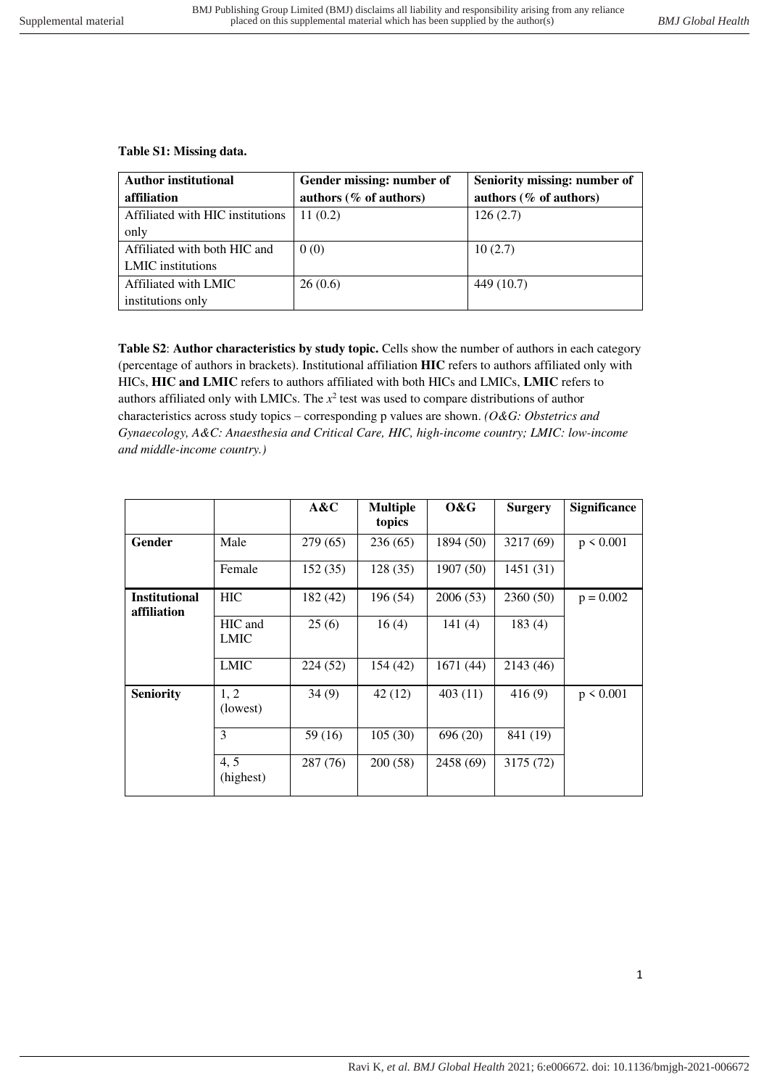## **Table S1: Missing data.**

| <b>Author institutional</b><br>affiliation | Gender missing: number of<br>authors (% of authors) | Seniority missing: number of<br>authors $(\%$ of authors) |
|--------------------------------------------|-----------------------------------------------------|-----------------------------------------------------------|
| Affiliated with HIC institutions           | 11(0.2)                                             | 126(2.7)                                                  |
| only                                       |                                                     |                                                           |
| Affiliated with both HIC and               | 0(0)                                                | 10(2.7)                                                   |
| LMIC institutions                          |                                                     |                                                           |
| Affiliated with LMIC                       | 26(0.6)                                             | 449 (10.7)                                                |
| institutions only                          |                                                     |                                                           |

**Table S2**: **Author characteristics by study topic.** Cells show the number of authors in each category (percentage of authors in brackets). Institutional affiliation **HIC** refers to authors affiliated only with HICs, **HIC and LMIC** refers to authors affiliated with both HICs and LMICs, **LMIC** refers to authors affiliated only with LMICs. The  $x^2$  test was used to compare distributions of author characteristics across study topics – corresponding p values are shown. *(O&G: Obstetrics and Gynaecology, A&C: Anaesthesia and Critical Care, HIC, high-income country; LMIC: low-income and middle-income country.)*

|                                     |                        | A&C      | <b>Multiple</b><br>topics | 0&G       | <b>Surgery</b> | <b>Significance</b> |
|-------------------------------------|------------------------|----------|---------------------------|-----------|----------------|---------------------|
| Gender                              | Male                   | 279 (65) | 236(65)                   | 1894 (50) | 3217 (69)      | $p \le 0.001$       |
|                                     | Female                 | 152(35)  | 128 (35)                  | 1907 (50) | 1451(31)       |                     |
| <b>Institutional</b><br>affiliation | <b>HIC</b>             | 182 (42) | 196 (54)                  | 2006(53)  | 2360(50)       | $p = 0.002$         |
|                                     | HIC and<br><b>LMIC</b> | 25(6)    | 16(4)                     | 141(4)    | 183(4)         |                     |
|                                     | <b>LMIC</b>            | 224 (52) | 154(42)                   | 1671 (44) | 2143 (46)      |                     |
| <b>Seniority</b>                    | 1, 2<br>(lowest)       | 34(9)    | 42 (12)                   | 403(11)   | 416(9)         | $p \le 0.001$       |
|                                     | 3                      | 59 (16)  | 105(30)                   | 696 (20)  | 841 (19)       |                     |
|                                     | 4, 5<br>(highest)      | 287 (76) | 200(58)                   | 2458 (69) | 3175 (72)      |                     |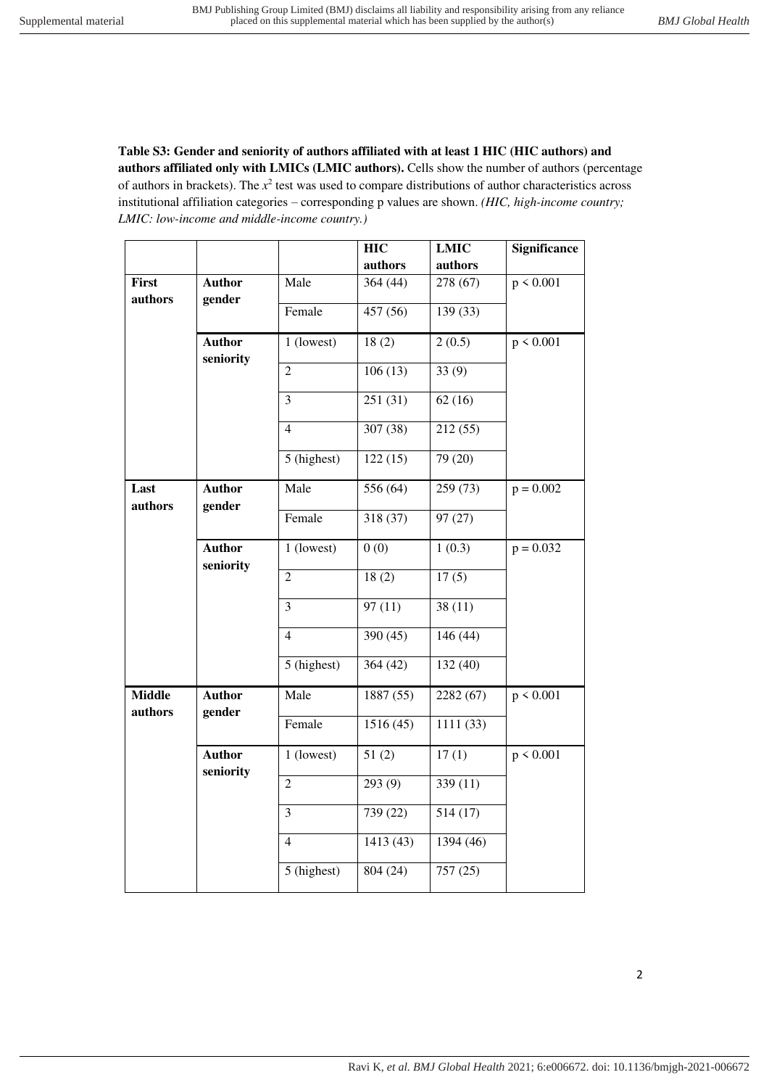**Table S3: Gender and seniority of authors affiliated with at least 1 HIC (HIC authors) and authors affiliated only with LMICs (LMIC authors).** Cells show the number of authors (percentage of authors in brackets). The  $x^2$  test was used to compare distributions of author characteristics across institutional affiliation categories – corresponding p values are shown. *(HIC, high-income country; LMIC: low-income and middle-income country.)*

|                          |                            |                | <b>HIC</b> | <b>LMIC</b> | <b>Significance</b> |
|--------------------------|----------------------------|----------------|------------|-------------|---------------------|
|                          |                            |                | authors    | authors     |                     |
| First<br>authors         | <b>Author</b><br>gender    | Male           | 364 (44)   | 278 (67)    | p < 0.001           |
|                          |                            | Female         | 457 (56)   | 139 (33)    |                     |
|                          | <b>Author</b><br>seniority | 1 (lowest)     | 18(2)      | 2(0.5)      | p < 0.001           |
|                          |                            | $\overline{2}$ | 106(13)    | 33(9)       |                     |
|                          |                            | $\overline{3}$ | 251(31)    | 62(16)      |                     |
|                          |                            | $\overline{4}$ | 307 (38)   | 212(55)     |                     |
|                          |                            | 5 (highest)    | 122(15)    | 79(20)      |                     |
| Last<br>authors          | <b>Author</b><br>gender    | Male           | 556 (64)   | 259 (73)    | $p = 0.002$         |
|                          |                            | Female         | 318 (37)   | 97 (27)     |                     |
|                          | <b>Author</b><br>seniority | 1 (lowest)     | 0(0)       | 1(0.3)      | $p = 0.032$         |
|                          |                            | $\overline{c}$ | 18(2)      | 17(5)       |                     |
|                          |                            | 3              | 97(11)     | 38(11)      |                     |
|                          |                            | $\overline{4}$ | 390(45)    | 146(44)     |                     |
|                          |                            | 5 (highest)    | 364(42)    | 132(40)     |                     |
| <b>Middle</b><br>authors | <b>Author</b><br>gender    | Male           | 1887 (55)  | 2282 (67)   | p < 0.001           |
|                          |                            | Female         | 1516(45)   | 1111 (33)   |                     |
|                          | <b>Author</b><br>seniority | 1 (lowest)     | 51(2)      | 17(1)       | p < 0.001           |
|                          |                            | $\overline{2}$ | 293(9)     | 339 (11)    |                     |
|                          |                            | 3              | 739 (22)   | 514(17)     |                     |
|                          |                            | $\overline{4}$ | 1413 (43)  | 1394 (46)   |                     |
|                          |                            | 5 (highest)    | 804 (24)   | 757(25)     |                     |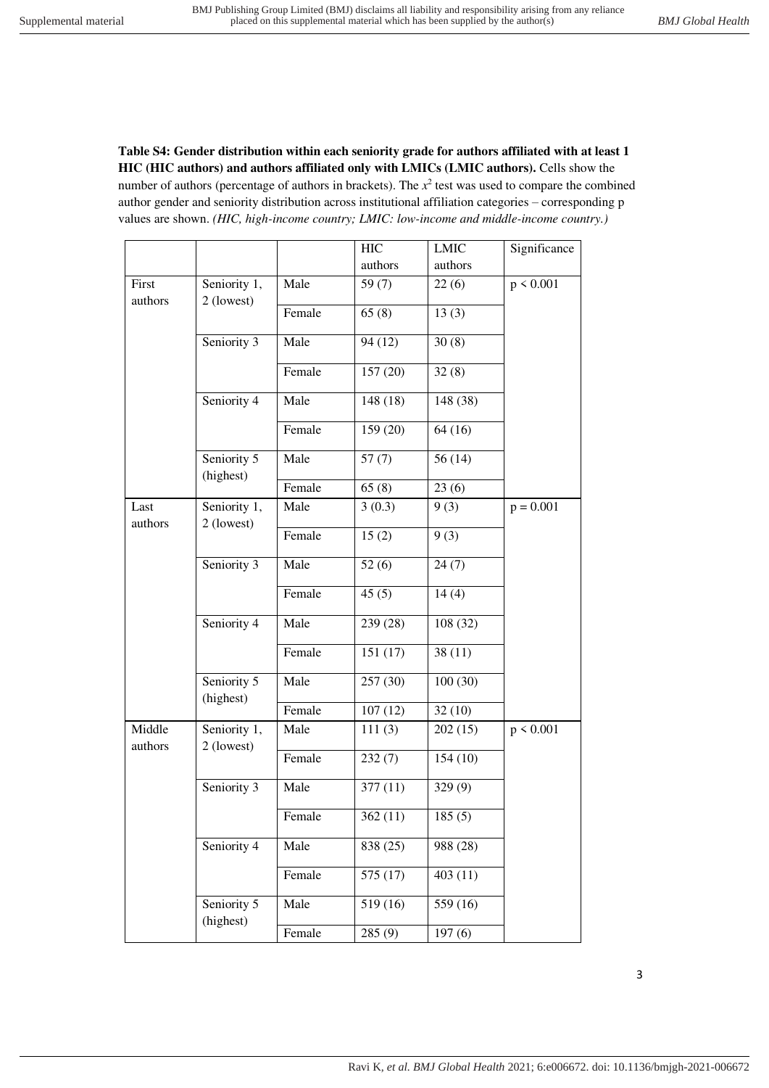**Table S4: Gender distribution within each seniority grade for authors affiliated with at least 1 HIC (HIC authors) and authors affiliated only with LMICs (LMIC authors).** Cells show the number of authors (percentage of authors in brackets). The  $x^2$  test was used to compare the combined author gender and seniority distribution across institutional affiliation categories – corresponding p values are shown. *(HIC, high-income country; LMIC: low-income and middle-income country.)*

|                   |                                         |        | <b>HIC</b> | <b>LMIC</b> | Significance |
|-------------------|-----------------------------------------|--------|------------|-------------|--------------|
|                   |                                         |        | authors    | authors     |              |
| First<br>authors  | Seniority 1,<br>2 (lowest)              | Male   | 59 $(7)$   | 22(6)       | p < 0.001    |
|                   |                                         | Female | 65(8)      | 13(3)       |              |
|                   | Seniority 3                             | Male   | 94 (12)    | 30(8)       |              |
|                   |                                         | Female | 157 (20)   | 32(8)       |              |
|                   | Seniority 4                             | Male   | 148 (18)   | 148 (38)    |              |
|                   |                                         | Female | 159 (20)   | 64(16)      |              |
|                   | Seniority 5<br>(highest)                | Male   | 57(7)      | 56(14)      |              |
|                   |                                         | Female | 65(8)      | 23(6)       |              |
| Last<br>authors   | Seniority $\overline{1,}$<br>2 (lowest) | Male   | 3(0.3)     | 9(3)        | $p = 0.001$  |
|                   |                                         | Female | 15(2)      | 9(3)        |              |
|                   | Seniority 3                             | Male   | 52(6)      | 24(7)       |              |
|                   |                                         | Female | 45(5)      | 14(4)       |              |
|                   | Seniority 4                             | Male   | 239 (28)   | 108(32)     |              |
|                   |                                         | Female | 151(17)    | 38(11)      |              |
|                   | Seniority 5<br>(highest)                | Male   | 257 (30)   | 100(30)     |              |
|                   |                                         | Female | 107(12)    | 32(10)      |              |
| Middle<br>authors | Seniority 1,<br>2 (lowest)              | Male   | 111(3)     | 202(15)     | p < 0.001    |
|                   |                                         | Female | 232(7)     | 154(10)     |              |
|                   | Seniority 3                             | Male   | 377(11)    | 329(9)      |              |
|                   |                                         | Female | 362(11)    | 185(5)      |              |
|                   | Seniority 4                             | Male   | 838 (25)   | 988 (28)    |              |
|                   |                                         | Female | 575 (17)   | 403(11)     |              |
|                   | Seniority 5<br>(highest)                | Male   | 519 (16)   | 559 (16)    |              |
|                   |                                         | Female | 285(9)     | 197(6)      |              |

3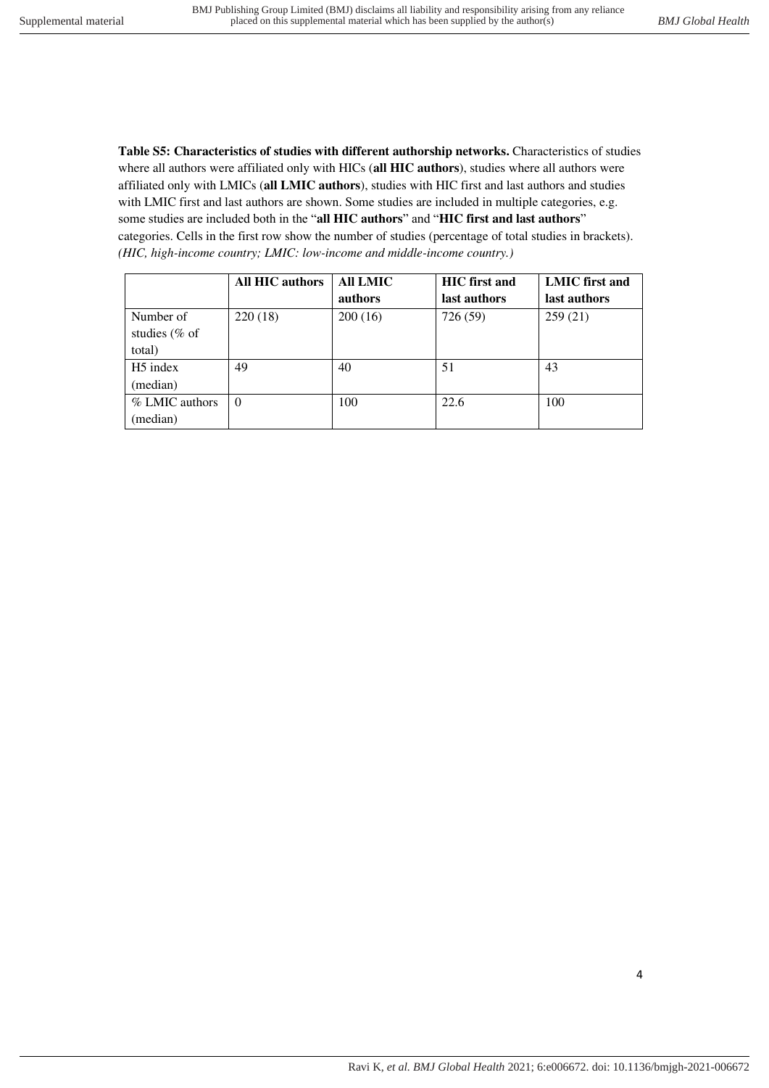**Table S5: Characteristics of studies with different authorship networks.** Characteristics of studies where all authors were affiliated only with HICs (**all HIC authors**), studies where all authors were affiliated only with LMICs (**all LMIC authors**), studies with HIC first and last authors and studies with LMIC first and last authors are shown. Some studies are included in multiple categories, e.g. some studies are included both in the "**all HIC authors**" and "**HIC first and last authors**" categories. Cells in the first row show the number of studies (percentage of total studies in brackets). *(HIC, high-income country; LMIC: low-income and middle-income country.)*

|                      | <b>All HIC authors</b> | All LMIC | <b>HIC</b> first and | <b>LMIC</b> first and |
|----------------------|------------------------|----------|----------------------|-----------------------|
|                      |                        | authors  | last authors         | last authors          |
| Number of            | 220(18)                | 200(16)  | 726 (59)             | 259(21)               |
| studies (% of        |                        |          |                      |                       |
| total)               |                        |          |                      |                       |
| H <sub>5</sub> index | 49                     | 40       | 51                   | 43                    |
| (median)             |                        |          |                      |                       |
| % LMIC authors       | $\Omega$               | 100      | 22.6                 | 100                   |
| (median)             |                        |          |                      |                       |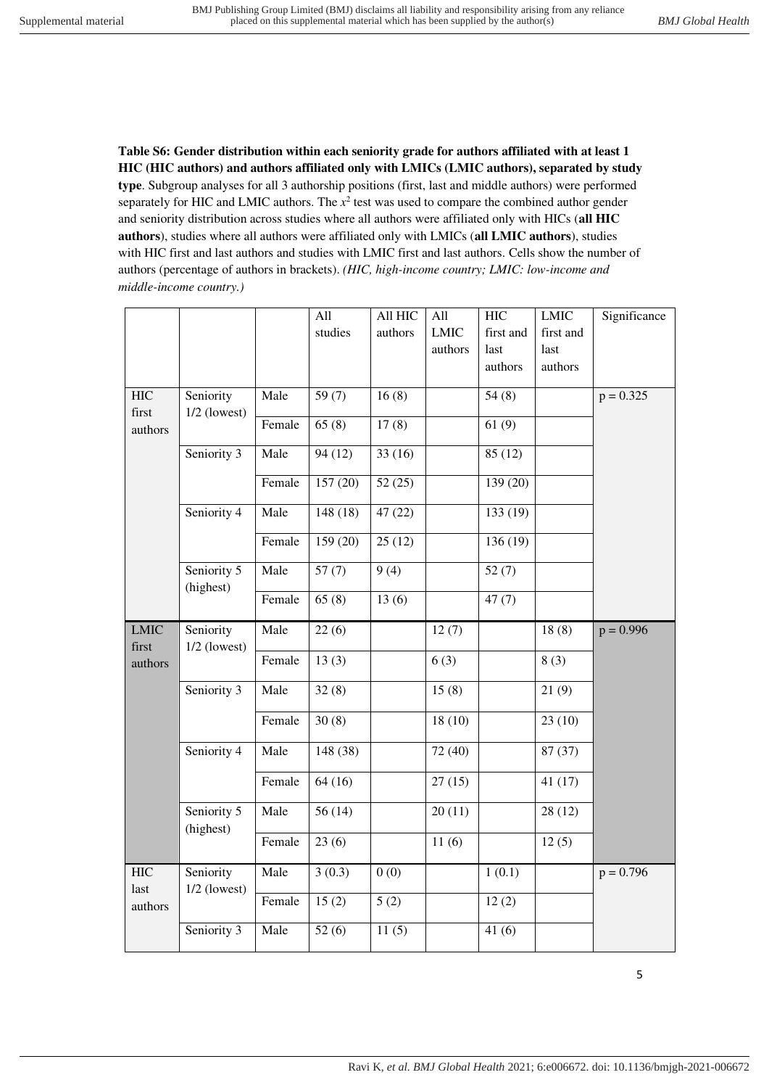**Table S6: Gender distribution within each seniority grade for authors affiliated with at least 1 HIC (HIC authors) and authors affiliated only with LMICs (LMIC authors), separated by study type**. Subgroup analyses for all 3 authorship positions (first, last and middle authors) were performed separately for HIC and LMIC authors. The  $x^2$  test was used to compare the combined author gender and seniority distribution across studies where all authors were affiliated only with HICs (**all HIC authors**), studies where all authors were affiliated only with LMICs (**all LMIC authors**), studies with HIC first and last authors and studies with LMIC first and last authors. Cells show the number of authors (percentage of authors in brackets). *(HIC, high-income country; LMIC: low-income and middle-income country.)*

|                      |                             |        | All      | All HIC | All         | <b>HIC</b> | <b>LMIC</b> | Significance |
|----------------------|-----------------------------|--------|----------|---------|-------------|------------|-------------|--------------|
|                      |                             |        | studies  | authors | <b>LMIC</b> | first and  | first and   |              |
|                      |                             |        |          |         | authors     | last       | last        |              |
|                      |                             |        |          |         |             | authors    | authors     |              |
| <b>HIC</b>           | Seniority                   | Male   | 59 $(7)$ | 16(8)   |             | 54(8)      |             | $p = 0.325$  |
| first                | $1/2$ (lowest)              |        |          |         |             |            |             |              |
| authors              |                             | Female | 65(8)    | 17(8)   |             | 61(9)      |             |              |
|                      | Seniority 3                 | Male   | 94(12)   | 33(16)  |             | 85(12)     |             |              |
|                      |                             | Female | 157(20)  | 52(25)  |             | 139 (20)   |             |              |
|                      | Seniority 4                 | Male   | 148 (18) | 47(22)  |             | 133 (19)   |             |              |
|                      |                             | Female | 159 (20) | 25(12)  |             | 136 (19)   |             |              |
|                      | Seniority 5<br>(highest)    | Male   | 57(7)    | 9(4)    |             | 52(7)      |             |              |
|                      |                             | Female | 65(8)    | 13(6)   |             | 47(7)      |             |              |
| <b>LMIC</b><br>first | Seniority<br>$1/2$ (lowest) | Male   | 22(6)    |         | 12(7)       |            | 18(8)       | $p = 0.996$  |
| authors              |                             | Female | 13(3)    |         | 6(3)        |            | 8(3)        |              |
|                      | Seniority 3                 | Male   | 32(8)    |         | 15(8)       |            | 21(9)       |              |
|                      |                             | Female | 30(8)    |         | 18(10)      |            | 23(10)      |              |
|                      | Seniority 4                 | Male   | 148 (38) |         | 72 (40)     |            | 87 (37)     |              |
|                      |                             | Female | 64(16)   |         | 27(15)      |            | 41(17)      |              |
|                      | Seniority 5<br>(highest)    | Male   | 56(14)   |         | 20(11)      |            | 28(12)      |              |
|                      |                             | Female | 23(6)    |         | 11(6)       |            | 12(5)       |              |
| <b>HIC</b><br>last   | Seniority<br>$1/2$ (lowest) | Male   | 3(0.3)   | 0(0)    |             | 1(0.1)     |             | $p = 0.796$  |
| authors              |                             | Female | 15(2)    | 5(2)    |             | 12(2)      |             |              |
|                      | Seniority 3                 | Male   | 52(6)    | 11(5)   |             | 41(6)      |             |              |

5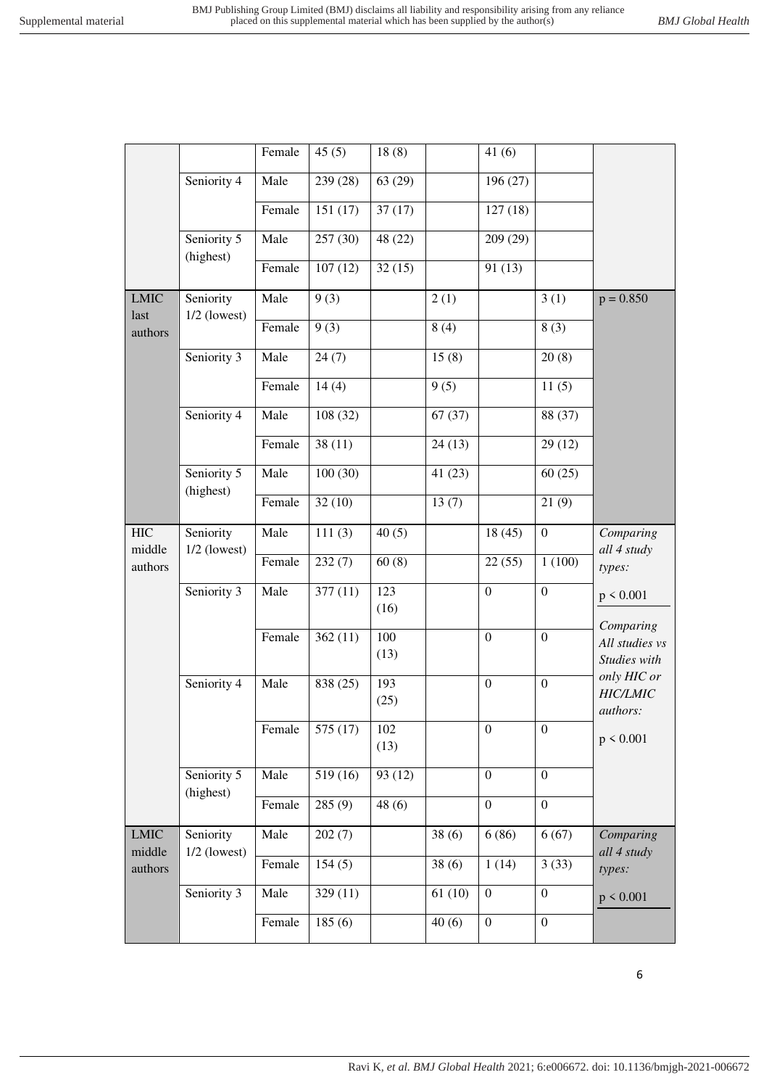|                      |                             | Female | 45(5)    | 18(8)       |        | 41(6)            |                  |                                |
|----------------------|-----------------------------|--------|----------|-------------|--------|------------------|------------------|--------------------------------|
|                      | Seniority 4                 | Male   | 239 (28) | 63(29)      |        | 196 (27)         |                  |                                |
|                      |                             | Female | 151(17)  | 37(17)      |        | 127(18)          |                  |                                |
|                      | Seniority 5<br>(highest)    | Male   | 257(30)  | 48 (22)     |        | 209 (29)         |                  |                                |
|                      |                             | Female | 107(12)  | 32(15)      |        | 91(13)           |                  |                                |
| <b>LMIC</b><br>last  | Seniority<br>$1/2$ (lowest) | Male   | 9(3)     |             | 2(1)   |                  | 3(1)             | $p = 0.850$                    |
| authors              |                             | Female | 9(3)     |             | 8(4)   |                  | 8(3)             |                                |
|                      | Seniority 3                 | Male   | 24(7)    |             | 15(8)  |                  | 20(8)            |                                |
|                      |                             | Female | 14(4)    |             | 9(5)   |                  | 11(5)            |                                |
|                      | Seniority 4                 | Male   | 108(32)  |             | 67(37) |                  | 88 (37)          |                                |
|                      |                             | Female | 38(11)   |             | 24(13) |                  | 29(12)           |                                |
|                      | Seniority 5<br>(highest)    | Male   | 100(30)  |             | 41(23) |                  | 60(25)           |                                |
|                      |                             | Female | 32(10)   |             | 13(7)  |                  | 21(9)            |                                |
| <b>HIC</b><br>middle | Seniority                   | Male   | 111(3)   | 40(5)       |        | 18(45)           | $\overline{0}$   | Comparing<br>all 4 study       |
| authors              | $1/2$ (lowest)              | Female | 232(7)   | 60(8)       |        | 22(55)           | 1(100)           | types:                         |
|                      | Seniority 3                 | Male   | 377(11)  | 123<br>(16) |        | $\mathbf{0}$     | $\boldsymbol{0}$ | p < 0.001                      |
|                      |                             | Female |          | 100         |        |                  |                  | Comparing                      |
|                      |                             |        | 362(11)  | (13)        |        | $\mathbf{0}$     | $\overline{0}$   | All studies vs<br>Studies with |
|                      | Seniority 4                 | Male   | 838 (25) | 193         |        | $\boldsymbol{0}$ | $\boldsymbol{0}$ | only HIC or<br><b>HIC/LMIC</b> |
|                      |                             |        |          | (25)        |        |                  |                  | authors:                       |
|                      |                             | Female | 575 (17) | 102<br>(13) |        | $\boldsymbol{0}$ | $\boldsymbol{0}$ | p < 0.001                      |
|                      | Seniority 5                 | Male   | 519 (16) | 93 (12)     |        | $\boldsymbol{0}$ | $\boldsymbol{0}$ |                                |
|                      | (highest)                   | Female | 285(9)   | 48(6)       |        | $\boldsymbol{0}$ | $\overline{0}$   |                                |
| <b>LMIC</b>          | Seniority                   | Male   | 202(7)   |             | 38(6)  | 6(86)            | 6(67)            | Comparing                      |
| middle<br>authors    | $1/2$ (lowest)              | Female | 154(5)   |             | 38(6)  | 1(14)            | 3(33)            | all 4 study<br>types:          |
|                      | Seniority 3                 | Male   | 329(11)  |             | 61(10) | $\boldsymbol{0}$ | $\boldsymbol{0}$ | p < 0.001                      |
|                      |                             | Female | 185(6)   |             | 40(6)  | $\boldsymbol{0}$ | $\boldsymbol{0}$ |                                |
|                      |                             |        |          |             |        |                  |                  |                                |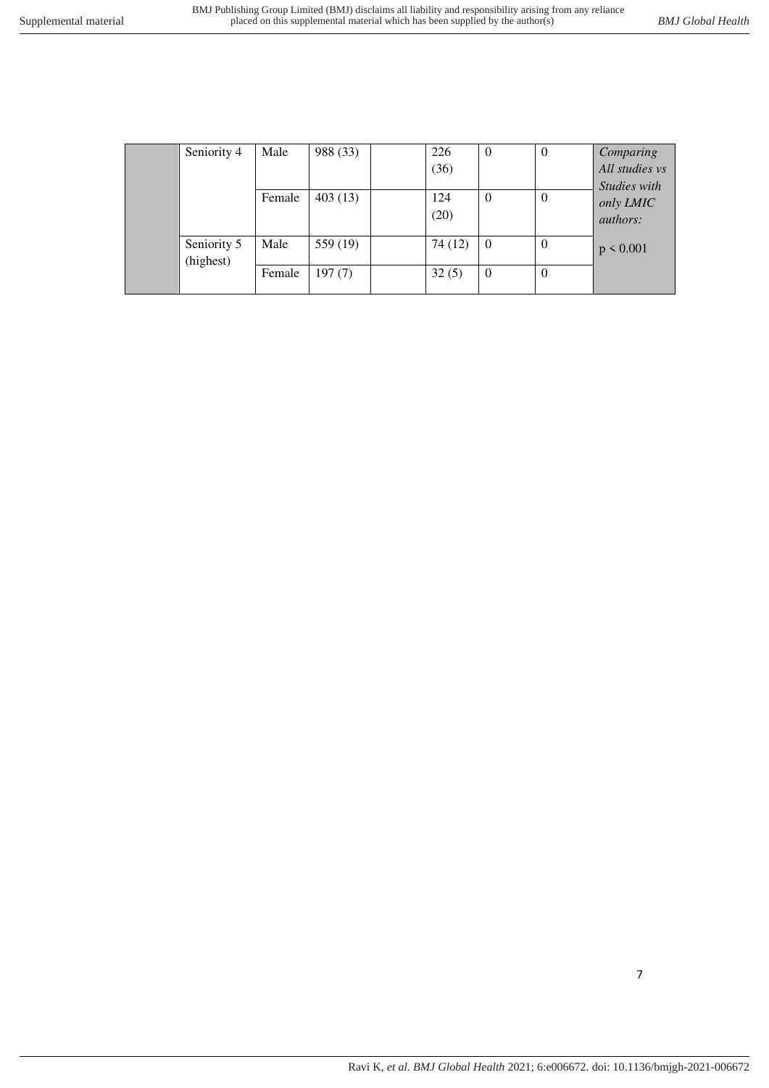| Seniority 4              | Male   | 988 (33) | 226         | $\theta$       | 0        | Comparing                                    |
|--------------------------|--------|----------|-------------|----------------|----------|----------------------------------------------|
|                          |        |          | (36)        |                |          | All studies vs                               |
|                          | Female | 403(13)  | 124<br>(20) | $\theta$       | $\theta$ | Studies with<br>only LMIC<br><i>authors:</i> |
| Seniority 5<br>(highest) | Male   | 559 (19) | 74 (12)     | $\overline{0}$ | $\Omega$ | $p \le 0.001$                                |
|                          | Female | 197(7)   | 32(5)       | $\theta$       | $\theta$ |                                              |